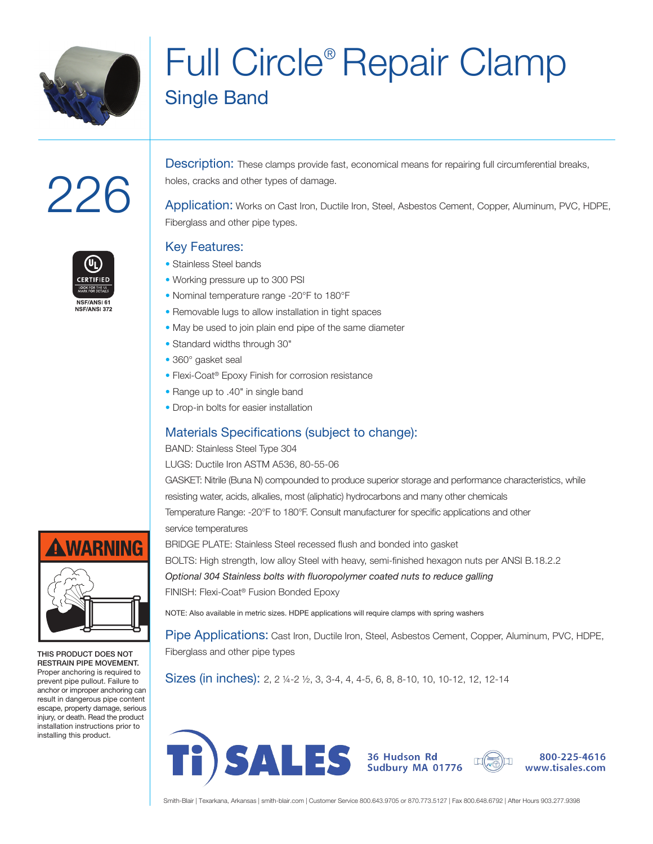

# Full Circle® Repair Clamp Single Band

# 226

**CERTIFIED** LOOK FOR THE UL NSF/ANS 61 NSF/ANSL 372

Description: These clamps provide fast, economical means for repairing full circumferential breaks, holes, cracks and other types of damage.

Application: Works on Cast Iron, Ductile Iron, Steel, Asbestos Cement, Copper, Aluminum, PVC, HDPE, Fiberglass and other pipe types.

### Key Features:

- Stainless Steel bands
- Working pressure up to 300 PSI
- Nominal temperature range -20°F to 180°F
- Removable lugs to allow installation in tight spaces
- May be used to join plain end pipe of the same diameter
- Standard widths through 30"
- 360° gasket seal
- Flexi-Coat® Epoxy Finish for corrosion resistance
- Range up to .40" in single band
- Drop-in bolts for easier installation

## Materials Specifications (subject to change):

BAND: Stainless Steel Type 304

LUGS: Ductile Iron ASTM A536, 80-55-06

GASKET: Nitrile (Buna N) compounded to produce superior storage and performance characteristics, while resisting water, acids, alkalies, most (aliphatic) hydrocarbons and many other chemicals Temperature Range: -20°F to 180°F. Consult manufacturer for specific applications and other service temperatures

BRIDGE PLATE: Stainless Steel recessed flush and bonded into gasket BOLTS: High strength, low alloy Steel with heavy, semi-finished hexagon nuts per ANSI B.18.2.2 *Optional 304 Stainless bolts with fluoropolymer coated nuts to reduce galling* FINISH: Flexi-Coat® Fusion Bonded Epoxy

NOTE: Also available in metric sizes. HDPE applications will require clamps with spring washers

Pipe Applications: Cast Iron, Ductile Iron, Steel, Asbestos Cement, Copper, Aluminum, PVC, HDPE, Fiberglass and other pipe types

Sizes (in inches): 2, 2 1/4-2 1/2, 3, 3-4, 4, 4-5, 6, 8, 8-10, 10, 10-12, 12, 12-14





Smith-Blair | Texarkana, Arkansas | smith-blair.com | Customer Service 800.643.9705 or 870.773.5127 | Fax 800.648.6792 | After Hours 903.277.9398



THIS PRODUCT DOES NOT RESTRAIN PIPE MOVEMENT. Proper anchoring is required to prevent pipe pullout. Failure to anchor or improper anchoring can result in dangerous pipe content escape, property damage, serious injury, or death. Read the product installation instructions prior to installing this product.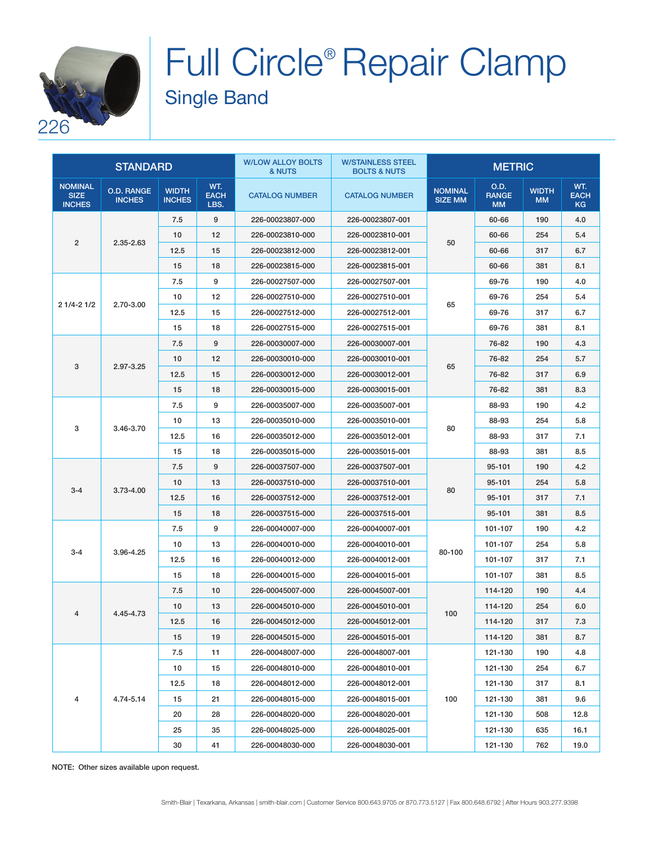

# Full Circle® Repair Clamp Single Band

|                                                | <b>STANDARD</b>                    |                               |                            | <b>W/LOW ALLOY BOLTS</b><br>& NUTS | <b>W/STAINLESS STEEL</b><br><b>BOLTS &amp; NUTS</b> | <b>METRIC</b>                    |                                   |                           |                                 |
|------------------------------------------------|------------------------------------|-------------------------------|----------------------------|------------------------------------|-----------------------------------------------------|----------------------------------|-----------------------------------|---------------------------|---------------------------------|
| <b>NOMINAL</b><br><b>SIZE</b><br><b>INCHES</b> | <b>O.D. RANGE</b><br><b>INCHES</b> | <b>WIDTH</b><br><b>INCHES</b> | WT.<br><b>EACH</b><br>LBS. | <b>CATALOG NUMBER</b>              | <b>CATALOG NUMBER</b>                               | <b>NOMINAL</b><br><b>SIZE MM</b> | O.D.<br><b>RANGE</b><br><b>MM</b> | <b>WIDTH</b><br><b>MM</b> | WT.<br><b>EACH</b><br><b>KG</b> |
|                                                |                                    | 7.5                           | 9                          | 226-00023807-000                   | 226-00023807-001                                    |                                  | 60-66                             | 190                       | 4.0                             |
| $\overline{2}$                                 |                                    | 10                            | 12                         | 226-00023810-000                   | 226-00023810-001                                    |                                  | 60-66                             | 254                       | 5.4                             |
|                                                | 2.35-2.63                          | 12.5                          | 15                         | 226-00023812-000                   | 226-00023812-001                                    | 50                               | 60-66                             | 317                       | 6.7                             |
|                                                |                                    | 15                            | 18                         | 226-00023815-000                   | 226-00023815-001                                    |                                  | 60-66                             | 381                       | 8.1                             |
|                                                |                                    | 7.5                           | 9                          | 226-00027507-000                   | 226-00027507-001                                    |                                  | 69-76                             | 190                       | 4.0                             |
|                                                |                                    | 10                            | 12                         | 226-00027510-000                   | 226-00027510-001                                    |                                  | 69-76                             | 254                       | 5.4                             |
| $21/4 - 21/2$                                  | 2.70-3.00                          | 12.5                          | 15                         | 226-00027512-000                   | 226-00027512-001                                    | 65                               | 69-76                             | 317                       | 6.7                             |
|                                                |                                    | 15                            | 18                         | 226-00027515-000                   | 226-00027515-001                                    |                                  | 69-76                             | 381                       | 8.1                             |
|                                                |                                    | 7.5                           | 9                          | 226-00030007-000                   | 226-00030007-001                                    |                                  | 76-82                             | 190                       | 4.3                             |
|                                                |                                    | 10                            | 12                         | 226-00030010-000                   | 226-00030010-001                                    |                                  | 76-82                             | 254                       | 5.7                             |
| 3                                              | 2.97-3.25                          | 12.5                          | 15                         | 226-00030012-000                   | 226-00030012-001                                    | 65                               | 76-82                             | 317                       | 6.9                             |
|                                                |                                    | 15                            | 18                         | 226-00030015-000                   | 226-00030015-001                                    |                                  | 76-82                             | 381                       | 8.3                             |
|                                                |                                    | 7.5                           | 9                          | 226-00035007-000                   | 226-00035007-001                                    |                                  | 88-93                             | 190                       | 4.2                             |
|                                                |                                    | 10                            | 13                         | 226-00035010-000                   | 226-00035010-001                                    |                                  | 88-93                             | 254                       | 5.8                             |
| 3<br>3.46-3.70                                 | 12.5                               | 16                            | 226-00035012-000           | 226-00035012-001                   | 80                                                  | 88-93                            | 317                               | 7.1                       |                                 |
|                                                |                                    | 15                            | 18                         | 226-00035015-000                   | 226-00035015-001                                    |                                  | 88-93                             | 381                       | 8.5                             |
|                                                | $3.73 - 4.00$                      | 7.5                           | 9                          | 226-00037507-000                   | 226-00037507-001                                    | 80                               | 95-101                            | 190                       | 4.2                             |
|                                                |                                    | 10                            | 13                         | 226-00037510-000                   | 226-00037510-001                                    |                                  | 95-101                            | 254                       | 5.8                             |
| $3 - 4$                                        |                                    | 12.5                          | 16                         | 226-00037512-000                   | 226-00037512-001                                    |                                  | 95-101                            | 317                       | 7.1                             |
|                                                |                                    | 15                            | 18                         | 226-00037515-000                   | 226-00037515-001                                    |                                  | 95-101                            | 381                       | 8.5                             |
|                                                |                                    | 7.5                           | 9                          | 226-00040007-000                   | 226-00040007-001                                    |                                  | 101-107                           | 190                       | 4.2                             |
|                                                |                                    | 10                            | 13                         | 226-00040010-000                   | 226-00040010-001                                    |                                  | 101-107                           | 254                       | 5.8                             |
| $3 - 4$                                        | 3.96-4.25                          | 12.5                          | 16                         | 226-00040012-000                   | 226-00040012-001                                    | 80-100                           | 101-107                           | 317                       | 7.1                             |
|                                                |                                    | 15                            | 18                         | 226-00040015-000                   | 226-00040015-001                                    |                                  | 101-107                           | 381                       | 8.5                             |
|                                                |                                    | 7.5                           | 10                         | 226-00045007-000                   | 226-00045007-001                                    |                                  | 114-120                           | 190                       | 4.4                             |
|                                                |                                    | 10                            | 13                         | 226-00045010-000                   | 226-00045010-001                                    |                                  | 114-120                           | 254                       | 6.0                             |
| 4                                              | 4.45-4.73                          | 12.5                          | 16                         | 226-00045012-000                   | 226-00045012-001                                    | 100                              | 114-120                           | 317                       | 7.3                             |
|                                                |                                    | 15                            | 19                         | 226-00045015-000                   | 226-00045015-001                                    |                                  | 114-120                           | 381                       | 8.7                             |
|                                                |                                    | 7.5                           | 11                         | 226-00048007-000                   | 226-00048007-001                                    |                                  | 121-130                           | 190                       | 4.8                             |
|                                                |                                    | 10                            | 15                         | 226-00048010-000                   | 226-00048010-001                                    |                                  | 121-130                           | 254                       | 6.7                             |
|                                                |                                    | 12.5                          | 18                         | 226-00048012-000                   | 226-00048012-001                                    | 100                              | 121-130                           | 317                       | 8.1                             |
| 4                                              | 4.74-5.14                          | 15                            | 21                         | 226-00048015-000                   | 226-00048015-001                                    |                                  | 121-130                           | 381                       | 9.6                             |
|                                                |                                    | 20                            | 28                         | 226-00048020-000                   | 226-00048020-001                                    |                                  | 121-130                           | 508                       | 12.8                            |
|                                                |                                    | 25                            | 35                         | 226-00048025-000                   | 226-00048025-001                                    |                                  | 121-130                           | 635                       | 16.1                            |
|                                                |                                    | 30                            | 41                         | 226-00048030-000                   | 226-00048030-001                                    |                                  | 121-130                           | 762                       | 19.0                            |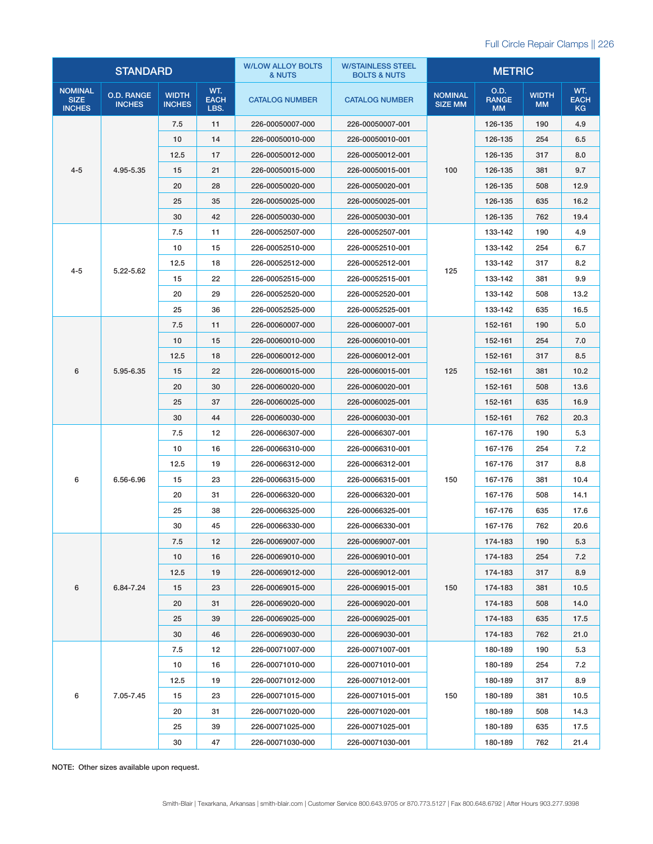|                                                | <b>STANDARD</b>                    |                               |                            | <b>W/LOW ALLOY BOLTS</b><br>& NUTS | <b>W/STAINLESS STEEL</b><br><b>BOLTS &amp; NUTS</b> |                                  | <b>METRIC</b>                     |                           |                                 |
|------------------------------------------------|------------------------------------|-------------------------------|----------------------------|------------------------------------|-----------------------------------------------------|----------------------------------|-----------------------------------|---------------------------|---------------------------------|
| <b>NOMINAL</b><br><b>SIZE</b><br><b>INCHES</b> | <b>O.D. RANGE</b><br><b>INCHES</b> | <b>WIDTH</b><br><b>INCHES</b> | WT.<br><b>EACH</b><br>LBS. | <b>CATALOG NUMBER</b>              | <b>CATALOG NUMBER</b>                               | <b>NOMINAL</b><br><b>SIZE MM</b> | O.D.<br><b>RANGE</b><br><b>MM</b> | <b>WIDTH</b><br><b>MM</b> | WT.<br><b>EACH</b><br><b>KG</b> |
|                                                |                                    | 7.5                           | 11                         | 226-00050007-000                   | 226-00050007-001                                    |                                  | 126-135                           | 190                       | 4.9                             |
|                                                |                                    | 10                            | 14                         | 226-00050010-000                   | 226-00050010-001                                    |                                  | 126-135                           | 254                       | 6.5                             |
|                                                |                                    | 12.5                          | 17                         | 226-00050012-000                   | 226-00050012-001                                    | 100                              | 126-135                           | 317                       | 8.0                             |
| $4 - 5$                                        | 4.95-5.35                          | 15                            | 21                         | 226-00050015-000                   | 226-00050015-001                                    |                                  | 126-135                           | 381                       | 9.7                             |
|                                                |                                    | 20                            | 28                         | 226-00050020-000                   | 226-00050020-001                                    |                                  | 126-135                           | 508                       | 12.9                            |
|                                                |                                    | 25                            | 35                         | 226-00050025-000                   | 226-00050025-001                                    |                                  | 126-135                           | 635                       | 16.2                            |
|                                                |                                    | 30                            | 42                         | 226-00050030-000                   | 226-00050030-001                                    |                                  | 126-135                           | 762                       | 19.4                            |
|                                                |                                    | 7.5                           | 11                         | 226-00052507-000                   | 226-00052507-001                                    |                                  | 133-142                           | 190                       | 4.9                             |
|                                                |                                    | 10                            | 15                         | 226-00052510-000                   | 226-00052510-001                                    |                                  | 133-142                           | 254                       | 6.7                             |
|                                                |                                    | 12.5                          | 18                         | 226-00052512-000                   | 226-00052512-001                                    |                                  | 133-142                           | 317                       | 8.2                             |
| $4 - 5$                                        | 5.22-5.62                          | 15                            | 22                         | 226-00052515-000                   | 226-00052515-001                                    | 125                              | 133-142                           | 381                       | 9.9                             |
|                                                |                                    | 20                            | 29                         | 226-00052520-000                   | 226-00052520-001                                    |                                  | 133-142                           | 508                       | 13.2                            |
|                                                |                                    | 25                            | 36                         | 226-00052525-000                   | 226-00052525-001                                    |                                  | 133-142                           | 635                       | 16.5                            |
|                                                |                                    | 7.5                           | 11                         | 226-00060007-000                   | 226-00060007-001                                    |                                  | 152-161                           | 190                       | 5.0                             |
| 6<br>5.95-6.35                                 | 10                                 | 15                            | 226-00060010-000           | 226-00060010-001                   |                                                     | 152-161                          | 254                               | 7.0                       |                                 |
|                                                |                                    | 12.5                          | 18                         | 226-00060012-000                   | 226-00060012-001                                    | 125                              | 152-161                           | 317                       | 8.5                             |
|                                                |                                    | 15                            | 22                         | 226-00060015-000                   | 226-00060015-001                                    |                                  | 152-161                           | 381                       | 10.2                            |
|                                                |                                    | 20                            | 30                         | 226-00060020-000                   | 226-00060020-001                                    |                                  | 152-161                           | 508                       | 13.6                            |
|                                                |                                    | 25                            | 37                         | 226-00060025-000                   | 226-00060025-001                                    |                                  | 152-161                           | 635                       | 16.9                            |
|                                                | 30                                 | 44                            | 226-00060030-000           | 226-00060030-001                   |                                                     | 152-161                          | 762                               | 20.3                      |                                 |
|                                                |                                    | 7.5                           | 12                         | 226-00066307-000                   | 226-00066307-001                                    | 150                              | 167-176                           | 190                       | 5.3                             |
|                                                | 6.56-6.96                          | 10                            | 16                         | 226-00066310-000                   | 226-00066310-001                                    |                                  | 167-176                           | 254                       | 7.2                             |
|                                                |                                    | 12.5                          | 19                         | 226-00066312-000                   | 226-00066312-001                                    |                                  | 167-176                           | 317                       | 8.8                             |
| 6                                              |                                    | 15                            | 23                         | 226-00066315-000                   | 226-00066315-001                                    |                                  | 167-176                           | 381                       | 10.4                            |
|                                                |                                    | 20                            | 31                         | 226-00066320-000                   | 226-00066320-001                                    |                                  | 167-176                           | 508                       | 14.1                            |
|                                                |                                    | 25                            | 38                         | 226-00066325-000                   | 226-00066325-001                                    |                                  | 167-176                           | 635                       | 17.6                            |
|                                                |                                    | 30                            | 45                         | 226-00066330-000                   | 226-00066330-001                                    |                                  | 167-176                           | 762                       | 20.6                            |
|                                                |                                    | 7.5                           | 12                         | 226-00069007-000                   | 226-00069007-001                                    |                                  | 174-183                           | 190                       | 5.3                             |
|                                                |                                    | 10                            | 16                         | 226-00069010-000                   | 226-00069010-001                                    | 150                              | 174-183                           | 254                       | 7.2                             |
|                                                |                                    | 12.5                          | 19                         | 226-00069012-000                   | 226-00069012-001                                    |                                  | 174-183                           | 317                       | 8.9                             |
| 6                                              | 6.84-7.24                          | 15                            | 23                         | 226-00069015-000                   | 226-00069015-001                                    |                                  | 174-183                           | 381                       | 10.5                            |
|                                                |                                    | 20                            | 31                         | 226-00069020-000                   | 226-00069020-001                                    |                                  | 174-183                           | 508                       | 14.0                            |
|                                                |                                    | 25                            | 39                         | 226-00069025-000                   | 226-00069025-001                                    |                                  | 174-183                           | 635                       | 17.5                            |
|                                                |                                    | 30                            | 46                         | 226-00069030-000                   | 226-00069030-001                                    |                                  | 174-183                           | 762                       | 21.0                            |
|                                                |                                    | 7.5                           | 12                         | 226-00071007-000                   | 226-00071007-001                                    |                                  | 180-189                           | 190                       | 5.3                             |
|                                                |                                    | 10                            | 16                         | 226-00071010-000                   | 226-00071010-001                                    | 150                              | 180-189                           | 254                       | 7.2                             |
|                                                |                                    | 12.5                          | 19                         | 226-00071012-000                   | 226-00071012-001                                    |                                  | 180-189                           | 317                       | 8.9                             |
| 6                                              | 7.05-7.45                          | 15                            | 23                         | 226-00071015-000                   | 226-00071015-001                                    |                                  | 180-189                           | 381                       | 10.5                            |
|                                                |                                    | 20                            | 31                         | 226-00071020-000                   | 226-00071020-001                                    |                                  | 180-189                           | 508                       | 14.3                            |
|                                                |                                    | 25                            | 39                         | 226-00071025-000                   | 226-00071025-001                                    |                                  | 180-189                           | 635                       | 17.5                            |
|                                                |                                    | 30                            | 47                         | 226-00071030-000                   | 226-00071030-001                                    |                                  | 180-189                           | 762                       | 21.4                            |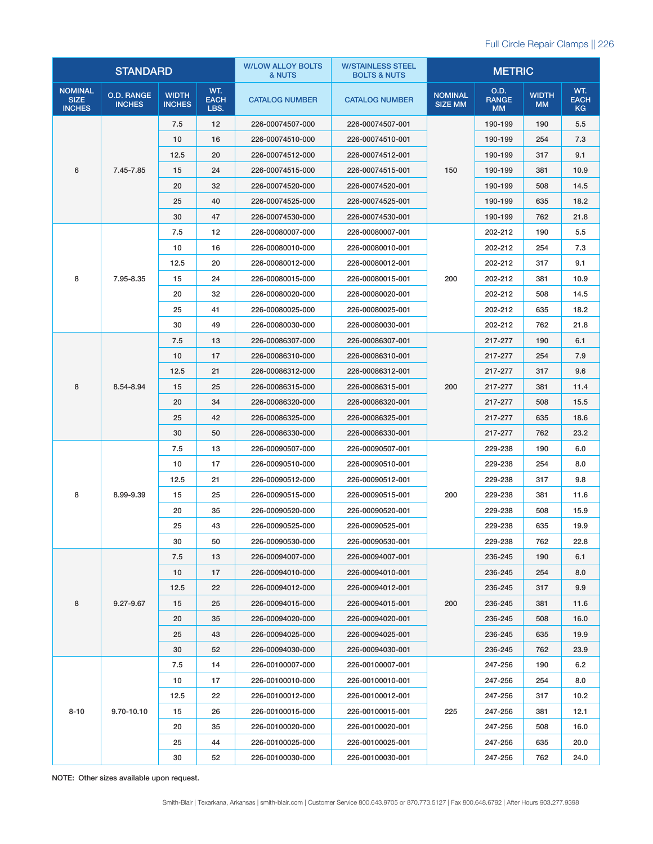|                                                | <b>STANDARD</b>                    |                               |                            | <b>W/LOW ALLOY BOLTS</b><br>& NUTS | <b>W/STAINLESS STEEL</b><br><b>BOLTS &amp; NUTS</b> | <b>METRIC</b>                    |                                   |                           |                          |
|------------------------------------------------|------------------------------------|-------------------------------|----------------------------|------------------------------------|-----------------------------------------------------|----------------------------------|-----------------------------------|---------------------------|--------------------------|
| <b>NOMINAL</b><br><b>SIZE</b><br><b>INCHES</b> | <b>O.D. RANGE</b><br><b>INCHES</b> | <b>WIDTH</b><br><b>INCHES</b> | WT.<br><b>EACH</b><br>LBS. | <b>CATALOG NUMBER</b>              | <b>CATALOG NUMBER</b>                               | <b>NOMINAL</b><br><b>SIZE MM</b> | O.D.<br><b>RANGE</b><br><b>MM</b> | <b>WIDTH</b><br><b>MM</b> | WT.<br><b>EACH</b><br>KG |
|                                                |                                    | 7.5                           | 12                         | 226-00074507-000                   | 226-00074507-001                                    |                                  | 190-199                           | 190                       | 5.5                      |
|                                                |                                    | 10                            | 16                         | 226-00074510-000                   | 226-00074510-001                                    |                                  | 190-199                           | 254                       | 7.3                      |
|                                                |                                    | 12.5                          | 20                         | 226-00074512-000                   | 226-00074512-001                                    |                                  | 190-199                           | 317                       | 9.1                      |
| 6                                              | 7.45-7.85                          | 15                            | 24                         | 226-00074515-000                   | 226-00074515-001                                    | 150                              | 190-199                           | 381                       | 10.9                     |
|                                                |                                    | 20                            | 32                         | 226-00074520-000                   | 226-00074520-001                                    |                                  | 190-199                           | 508                       | 14.5                     |
|                                                |                                    | 25                            | 40                         | 226-00074525-000                   | 226-00074525-001                                    |                                  | 190-199                           | 635                       | 18.2                     |
|                                                |                                    | 30                            | 47                         | 226-00074530-000                   | 226-00074530-001                                    |                                  | 190-199                           | 762                       | 21.8                     |
|                                                |                                    | 7.5                           | 12                         | 226-00080007-000                   | 226-00080007-001                                    |                                  | 202-212                           | 190                       | 5.5                      |
|                                                |                                    | 10                            | 16                         | 226-00080010-000                   | 226-00080010-001                                    |                                  | 202-212                           | 254                       | 7.3                      |
|                                                |                                    | 12.5                          | 20                         | 226-00080012-000                   | 226-00080012-001                                    |                                  | 202-212                           | 317                       | 9.1                      |
| 8                                              | 7.95-8.35                          | 15                            | 24                         | 226-00080015-000                   | 226-00080015-001                                    | 200                              | 202-212                           | 381                       | 10.9                     |
|                                                |                                    | 20                            | 32                         | 226-00080020-000                   | 226-00080020-001                                    |                                  | 202-212                           | 508                       | 14.5                     |
|                                                |                                    | 25                            | 41                         | 226-00080025-000                   | 226-00080025-001                                    |                                  | 202-212                           | 635                       | 18.2                     |
|                                                |                                    | 30                            | 49                         | 226-00080030-000                   | 226-00080030-001                                    |                                  | 202-212                           | 762                       | 21.8                     |
|                                                |                                    | 7.5                           | 13                         | 226-00086307-000                   | 226-00086307-001                                    |                                  | 217-277                           | 190                       | 6.1                      |
| 8<br>8.54-8.94                                 | 10                                 | 17                            | 226-00086310-000           | 226-00086310-001                   |                                                     | 217-277                          | 254                               | 7.9                       |                          |
|                                                |                                    | 12.5                          | 21                         | 226-00086312-000                   | 226-00086312-001                                    | 200                              | 217-277                           | 317                       | 9.6                      |
|                                                |                                    | 15                            | 25                         | 226-00086315-000                   | 226-00086315-001                                    |                                  | 217-277                           | 381                       | 11.4                     |
|                                                |                                    | 20                            | 34                         | 226-00086320-000                   | 226-00086320-001                                    |                                  | 217-277                           | 508                       | 15.5                     |
|                                                |                                    | 25                            | 42                         | 226-00086325-000                   | 226-00086325-001                                    |                                  | 217-277                           | 635                       | 18.6                     |
|                                                |                                    | 30                            | 50                         | 226-00086330-000                   | 226-00086330-001                                    |                                  | 217-277                           | 762                       | 23.2                     |
|                                                |                                    | 7.5                           | 13                         | 226-00090507-000                   | 226-00090507-001                                    | 200                              | 229-238                           | 190                       | 6.0                      |
|                                                | 8.99-9.39                          | 10                            | 17                         | 226-00090510-000                   | 226-00090510-001                                    |                                  | 229-238                           | 254                       | 8.0                      |
|                                                |                                    | 12.5                          | 21                         | 226-00090512-000                   | 226-00090512-001                                    |                                  | 229-238                           | 317                       | 9.8                      |
| 8                                              |                                    | 15                            | 25                         | 226-00090515-000                   | 226-00090515-001                                    |                                  | 229-238                           | 381                       | 11.6                     |
|                                                |                                    | 20                            | 35                         | 226-00090520-000                   | 226-00090520-001                                    |                                  | 229-238                           | 508                       | 15.9                     |
|                                                |                                    | 25                            | 43                         | 226-00090525-000                   | 226-00090525-001                                    |                                  | 229-238                           | 635                       | 19.9                     |
|                                                |                                    | 30                            | 50                         | 226-00090530-000                   | 226-00090530-001                                    |                                  | 229-238                           | 762                       | 22.8                     |
|                                                |                                    | 7.5                           | 13                         | 226-00094007-000                   | 226-00094007-001                                    |                                  | 236-245                           | 190                       | 6.1                      |
|                                                |                                    | 10                            | 17                         | 226-00094010-000                   | 226-00094010-001                                    |                                  | 236-245                           | 254                       | 8.0                      |
|                                                |                                    | 12.5                          | 22                         | 226-00094012-000                   | 226-00094012-001                                    | 200                              | 236-245                           | 317                       | 9.9                      |
| 8                                              | 9.27-9.67                          | 15                            | 25                         | 226-00094015-000                   | 226-00094015-001                                    |                                  | 236-245                           | 381                       | 11.6                     |
|                                                |                                    | 20                            | 35                         | 226-00094020-000                   | 226-00094020-001                                    |                                  | 236-245                           | 508                       | 16.0                     |
|                                                |                                    | 25                            | 43                         | 226-00094025-000                   | 226-00094025-001                                    |                                  | 236-245                           | 635                       | 19.9                     |
|                                                |                                    | 30                            | 52                         | 226-00094030-000                   | 226-00094030-001                                    |                                  | 236-245                           | 762                       | 23.9                     |
|                                                |                                    | 7.5                           | 14                         | 226-00100007-000                   | 226-00100007-001                                    |                                  | 247-256                           | 190                       | 6.2                      |
|                                                |                                    | 10                            | 17                         | 226-00100010-000                   | 226-00100010-001                                    | 225                              | 247-256                           | 254                       | 8.0                      |
|                                                |                                    | 12.5                          | 22                         | 226-00100012-000                   | 226-00100012-001                                    |                                  | 247-256                           | 317                       | 10.2                     |
| $8 - 10$                                       | 9.70-10.10                         | 15                            | 26                         | 226-00100015-000                   | 226-00100015-001                                    |                                  | 247-256                           | 381                       | 12.1                     |
|                                                |                                    | 20                            | 35                         | 226-00100020-000                   | 226-00100020-001                                    |                                  | 247-256                           | 508                       | 16.0                     |
|                                                |                                    | 25                            | 44                         | 226-00100025-000                   | 226-00100025-001                                    |                                  | 247-256                           | 635                       | 20.0                     |
|                                                |                                    | 30                            | 52                         | 226-00100030-000                   | 226-00100030-001                                    |                                  | 247-256                           | 762                       | 24.0                     |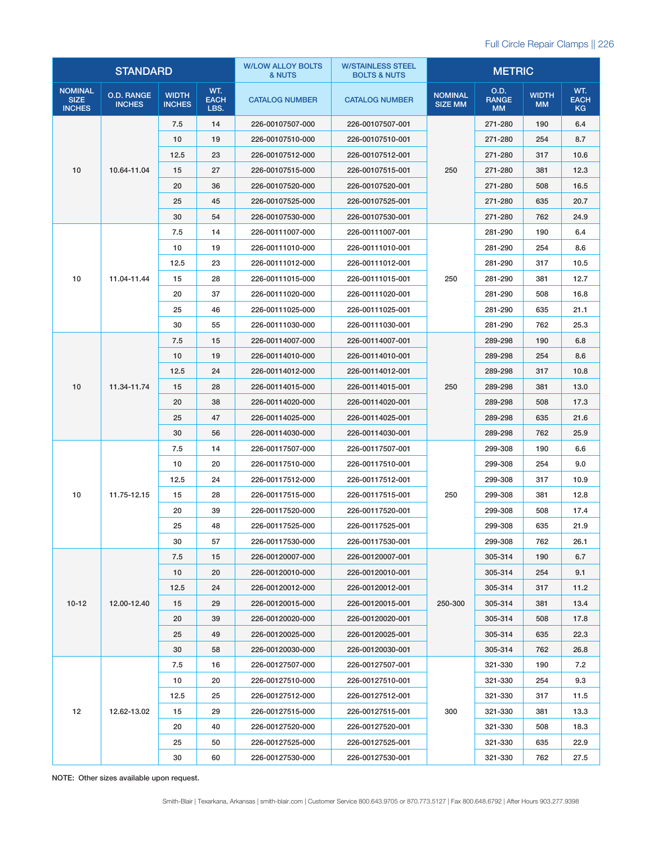|                                                | <b>STANDARD</b>                    |                               |                            | <b>W/LOW ALLOY BOLTS</b><br>& NUTS | <b>W/STAINLESS STEEL</b><br><b>BOLTS &amp; NUTS</b> | <b>METRIC</b>                    |                                   |                           |                                 |
|------------------------------------------------|------------------------------------|-------------------------------|----------------------------|------------------------------------|-----------------------------------------------------|----------------------------------|-----------------------------------|---------------------------|---------------------------------|
| <b>NOMINAL</b><br><b>SIZE</b><br><b>INCHES</b> | <b>O.D. RANGE</b><br><b>INCHES</b> | <b>WIDTH</b><br><b>INCHES</b> | WT.<br><b>EACH</b><br>LBS. | <b>CATALOG NUMBER</b>              | <b>CATALOG NUMBER</b>                               | <b>NOMINAL</b><br><b>SIZE MM</b> | O.D.<br><b>RANGE</b><br><b>MM</b> | <b>WIDTH</b><br><b>MM</b> | WT.<br><b>EACH</b><br><b>KG</b> |
|                                                |                                    | 7.5                           | 14                         | 226-00107507-000                   | 226-00107507-001                                    |                                  | 271-280                           | 190                       | 6.4                             |
|                                                |                                    | 10                            | 19                         | 226-00107510-000                   | 226-00107510-001                                    | 250                              | 271-280                           | 254                       | 8.7                             |
|                                                |                                    | 12.5                          | 23                         | 226-00107512-000                   | 226-00107512-001                                    |                                  | 271-280                           | 317                       | 10.6                            |
| 10                                             | 10.64-11.04                        | 15                            | 27                         | 226-00107515-000                   | 226-00107515-001                                    |                                  | 271-280                           | 381                       | 12.3                            |
|                                                |                                    | 20                            | 36                         | 226-00107520-000                   | 226-00107520-001                                    |                                  | 271-280                           | 508                       | 16.5                            |
|                                                |                                    | 25                            | 45                         | 226-00107525-000                   | 226-00107525-001                                    |                                  | 271-280                           | 635                       | 20.7                            |
|                                                |                                    | 30                            | 54                         | 226-00107530-000                   | 226-00107530-001                                    |                                  | 271-280                           | 762                       | 24.9                            |
|                                                |                                    | 7.5                           | 14                         | 226-00111007-000                   | 226-00111007-001                                    |                                  | 281-290                           | 190                       | 6.4                             |
|                                                |                                    | 10                            | 19                         | 226-00111010-000                   | 226-00111010-001                                    |                                  | 281-290                           | 254                       | 8.6                             |
|                                                |                                    | 12.5                          | 23                         | 226-00111012-000                   | 226-00111012-001                                    |                                  | 281-290                           | 317                       | 10.5                            |
| 10                                             | 11.04-11.44                        | 15                            | 28                         | 226-00111015-000                   | 226-00111015-001                                    | 250                              | 281-290                           | 381                       | 12.7                            |
|                                                |                                    | 20                            | 37                         | 226-00111020-000                   | 226-00111020-001                                    |                                  | 281-290                           | 508                       | 16.8                            |
|                                                |                                    | 25                            | 46                         | 226-00111025-000                   | 226-00111025-001                                    |                                  | 281-290                           | 635                       | 21.1                            |
|                                                |                                    | 30                            | 55                         | 226-00111030-000                   | 226-00111030-001                                    |                                  | 281-290                           | 762                       | 25.3                            |
|                                                |                                    | 7.5                           | 15                         | 226-00114007-000                   | 226-00114007-001                                    | 250                              | 289-298                           | 190                       | 6.8                             |
| 10                                             |                                    | 10                            | 19                         | 226-00114010-000                   | 226-00114010-001                                    |                                  | 289-298                           | 254                       | 8.6                             |
|                                                | 11.34-11.74                        | 12.5                          | 24                         | 226-00114012-000                   | 226-00114012-001                                    |                                  | 289-298                           | 317                       | 10.8                            |
|                                                |                                    | 15                            | 28                         | 226-00114015-000                   | 226-00114015-001                                    |                                  | 289-298                           | 381                       | 13.0                            |
|                                                |                                    | 20                            | 38                         | 226-00114020-000                   | 226-00114020-001                                    |                                  | 289-298                           | 508                       | 17.3                            |
|                                                |                                    | 25                            | 47                         | 226-00114025-000                   | 226-00114025-001                                    |                                  | 289-298                           | 635                       | 21.6                            |
|                                                |                                    | 30                            | 56                         | 226-00114030-000                   | 226-00114030-001                                    |                                  | 289-298                           | 762                       | 25.9                            |
|                                                | 11.75-12.15                        | 7.5                           | 14                         | 226-00117507-000                   | 226-00117507-001                                    |                                  | 299-308                           | 190                       | 6.6                             |
|                                                |                                    | 10                            | 20                         | 226-00117510-000                   | 226-00117510-001                                    |                                  | 299-308                           | 254                       | 9.0                             |
|                                                |                                    | 12.5                          | 24                         | 226-00117512-000                   | 226-00117512-001                                    |                                  | 299-308                           | 317                       | 10.9                            |
| 10                                             |                                    | 15                            | 28                         | 226-00117515-000                   | 226-00117515-001                                    | 250                              | 299-308                           | 381                       | 12.8                            |
|                                                |                                    | 20                            | 39                         | 226-00117520-000                   | 226-00117520-001                                    |                                  | 299-308                           | 508                       | 17.4                            |
|                                                |                                    | 25                            | 48                         | 226-00117525-000                   | 226-00117525-001                                    |                                  | 299-308                           | 635                       | 21.9                            |
|                                                |                                    | 30                            | 57                         | 226-00117530-000                   | 226-00117530-001                                    |                                  | 299-308                           | 762                       | 26.1                            |
|                                                |                                    | 7.5                           | 15                         | 226-00120007-000                   | 226-00120007-001                                    |                                  | 305-314                           | 190                       | 6.7                             |
|                                                |                                    | 10                            | 20                         | 226-00120010-000                   | 226-00120010-001                                    |                                  | 305-314                           | 254                       | 9.1                             |
|                                                |                                    | 12.5                          | 24                         | 226-00120012-000                   | 226-00120012-001                                    | 250-300                          | 305-314                           | 317                       | 11.2                            |
| $10-12$                                        | 12.00-12.40                        | 15                            | 29                         | 226-00120015-000                   | 226-00120015-001                                    |                                  | 305-314                           | 381                       | 13.4                            |
|                                                |                                    | 20                            | 39                         | 226-00120020-000                   | 226-00120020-001                                    |                                  | 305-314                           | 508                       | 17.8                            |
|                                                |                                    | 25                            | 49                         | 226-00120025-000                   | 226-00120025-001                                    |                                  | 305-314                           | 635                       | 22.3                            |
|                                                |                                    | 30                            | 58                         | 226-00120030-000                   | 226-00120030-001                                    |                                  | 305-314                           | 762                       | 26.8                            |
|                                                |                                    | 7.5                           | 16                         | 226-00127507-000                   | 226-00127507-001                                    |                                  | 321-330                           | 190                       | 7.2                             |
|                                                |                                    | 10                            | 20                         | 226-00127510-000                   | 226-00127510-001                                    |                                  | 321-330                           | 254                       | 9.3                             |
|                                                |                                    | 12.5                          | 25                         | 226-00127512-000                   | 226-00127512-001                                    |                                  | 321-330                           | 317                       | 11.5                            |
| 12                                             | 12.62-13.02                        | 15                            | 29                         | 226-00127515-000                   | 226-00127515-001                                    | 300                              | 321-330                           | 381                       | 13.3                            |
|                                                |                                    | 20                            | 40                         | 226-00127520-000                   | 226-00127520-001                                    |                                  | 321-330                           | 508                       | 18.3                            |
|                                                |                                    | 25                            | 50                         | 226-00127525-000                   | 226-00127525-001                                    |                                  | 321-330                           | 635                       | 22.9                            |
|                                                |                                    | 30                            | 60                         | 226-00127530-000                   | 226-00127530-001                                    |                                  | 321-330                           | 762                       | 27.5                            |